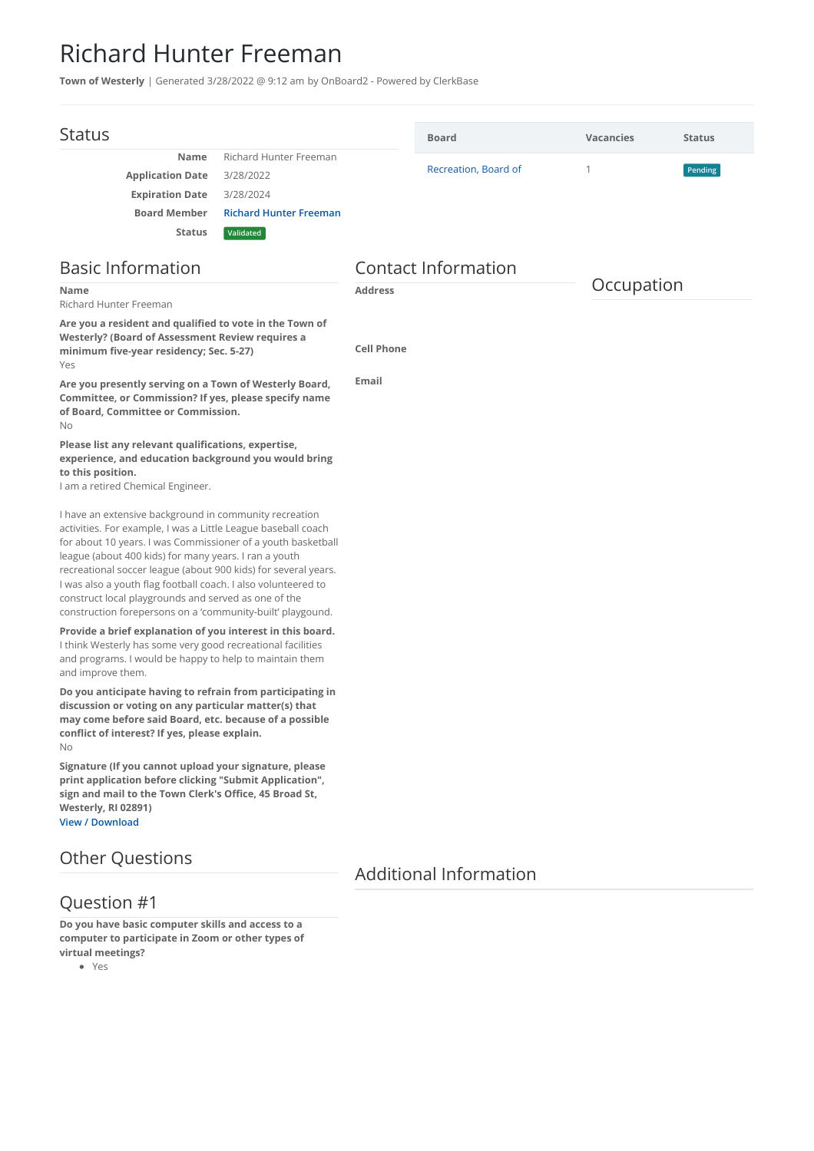## Richard Hunter Freeman

**Town of Westerly** | Generated 3/28/2022 @ 9:12 am by OnBoard2 - Powered by ClerkBase

| <b>Status</b>                                                                                                                                                                                                                                                                                                                                                                                                                                                                                             |                               |                            | <b>Board</b>                  | <b>Vacancies</b> | <b>Status</b> |  |
|-----------------------------------------------------------------------------------------------------------------------------------------------------------------------------------------------------------------------------------------------------------------------------------------------------------------------------------------------------------------------------------------------------------------------------------------------------------------------------------------------------------|-------------------------------|----------------------------|-------------------------------|------------------|---------------|--|
| <b>Name</b>                                                                                                                                                                                                                                                                                                                                                                                                                                                                                               | <b>Richard Hunter Freeman</b> |                            |                               |                  |               |  |
| <b>Application Date</b>                                                                                                                                                                                                                                                                                                                                                                                                                                                                                   | 3/28/2022                     |                            | Recreation, Board of          | 1                | Pending       |  |
| <b>Expiration Date</b>                                                                                                                                                                                                                                                                                                                                                                                                                                                                                    | 3/28/2024                     |                            |                               |                  |               |  |
| <b>Board Member</b>                                                                                                                                                                                                                                                                                                                                                                                                                                                                                       | <b>Richard Hunter Freeman</b> |                            |                               |                  |               |  |
| <b>Status</b>                                                                                                                                                                                                                                                                                                                                                                                                                                                                                             | Validated                     |                            |                               |                  |               |  |
| <b>Basic Information</b>                                                                                                                                                                                                                                                                                                                                                                                                                                                                                  |                               | <b>Contact Information</b> |                               |                  |               |  |
| <b>Name</b><br>Richard Hunter Freeman                                                                                                                                                                                                                                                                                                                                                                                                                                                                     |                               | <b>Address</b>             |                               |                  | Occupation    |  |
| Are you a resident and qualified to vote in the Town of<br>Westerly? (Board of Assessment Review requires a<br>minimum five-year residency; Sec. 5-27)<br>Yes                                                                                                                                                                                                                                                                                                                                             |                               | <b>Cell Phone</b>          |                               |                  |               |  |
| Are you presently serving on a Town of Westerly Board,<br>Committee, or Commission? If yes, please specify name<br>of Board, Committee or Commission.<br>No                                                                                                                                                                                                                                                                                                                                               |                               | Email                      |                               |                  |               |  |
| Please list any relevant qualifications, expertise,<br>experience, and education background you would bring<br>to this position.<br>I am a retired Chemical Engineer.                                                                                                                                                                                                                                                                                                                                     |                               |                            |                               |                  |               |  |
| I have an extensive background in community recreation<br>activities. For example, I was a Little League baseball coach<br>for about 10 years. I was Commissioner of a youth basketball<br>league (about 400 kids) for many years. I ran a youth<br>recreational soccer league (about 900 kids) for several years.<br>I was also a youth flag football coach. I also volunteered to<br>construct local playgrounds and served as one of the<br>construction forepersons on a 'community-built' playgound. |                               |                            |                               |                  |               |  |
| Provide a brief explanation of you interest in this board.<br>I think Westerly has some very good recreational facilities<br>and programs. I would be happy to help to maintain them<br>and improve them.                                                                                                                                                                                                                                                                                                 |                               |                            |                               |                  |               |  |
| Do you anticipate having to refrain from participating in<br>discussion or voting on any particular matter(s) that<br>may come before said Board, etc. because of a possible<br>conflict of interest? If yes, please explain.<br>No                                                                                                                                                                                                                                                                       |                               |                            |                               |                  |               |  |
| Signature (If you cannot upload your signature, please<br>print application before clicking "Submit Application",<br>sign and mail to the Town Clerk's Office, 45 Broad St,<br>Westerly, RI 02891)<br><b>View / Download</b>                                                                                                                                                                                                                                                                              |                               |                            |                               |                  |               |  |
| <b>Other Questions</b>                                                                                                                                                                                                                                                                                                                                                                                                                                                                                    |                               |                            |                               |                  |               |  |
|                                                                                                                                                                                                                                                                                                                                                                                                                                                                                                           |                               |                            | <b>Additional Information</b> |                  |               |  |

## Question #1

**Do you have basic computer skills and access to a computer to participate in Zoom or other types of virtual meetings?**

Yes